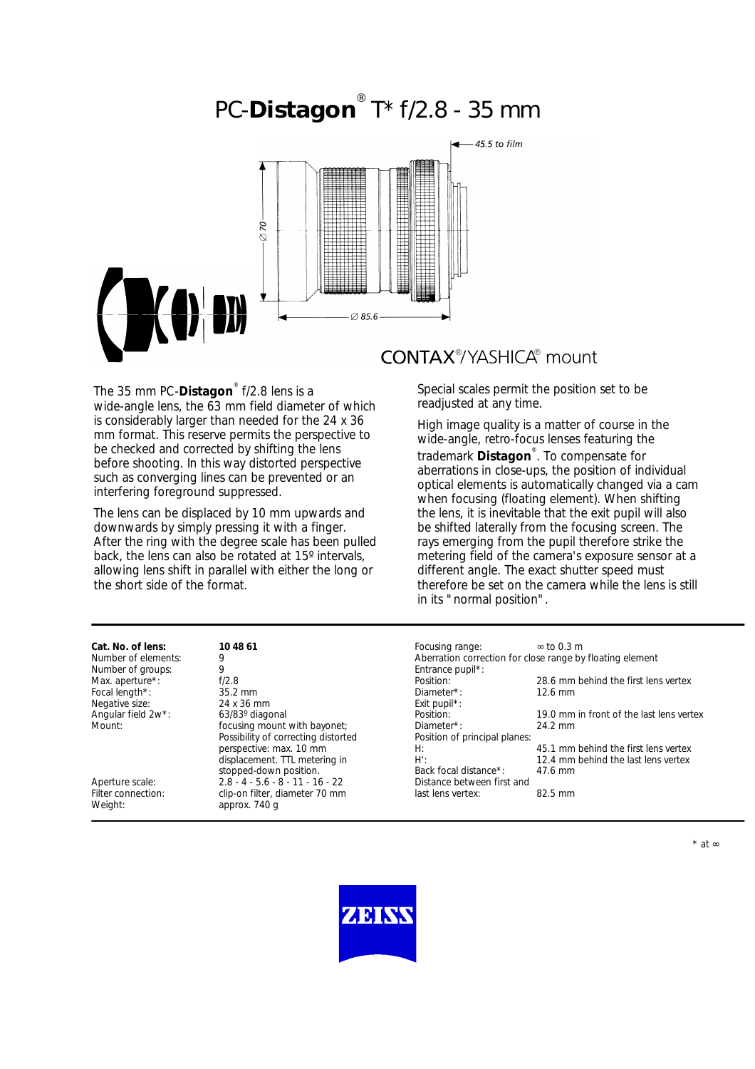# PC-**Distagon** ® T\* f/2.8 - 35 mm



The 35 mm PC-**Distagon**® f/2.8 lens is a wide-angle lens, the 63 mm field diameter of which is considerably larger than needed for the 24 x 36 mm format. This reserve permits the perspective to be checked and corrected by shifting the lens before shooting. In this way distorted perspective such as converging lines can be prevented or an interfering foreground suppressed.

The lens can be displaced by 10 mm upwards and downwards by simply pressing it with a finger. After the ring with the degree scale has been pulled back, the lens can also be rotated at 15º intervals, allowing lens shift in parallel with either the long or the short side of the format.

## **CONTAX®/YASHICA®** mount

Special scales permit the position set to be readjusted at any time.

High image quality is a matter of course in the wide-angle, retro-focus lenses featuring the trademark **Distagon**® . To compensate for aberrations in close-ups, the position of individual optical elements is automatically changed via a cam when focusing (floating element). When shifting the lens, it is inevitable that the exit pupil will also be shifted laterally from the focusing screen. The rays emerging from the pupil therefore strike the metering field of the camera's exposure sensor at a different angle. The exact shutter speed must therefore be set on the camera while the lens is still in its "normal position".

| Cat. No. of lens:             | 10 48 61                                        | Focusing range:                                           | $\approx$ to 0.3 m                       |
|-------------------------------|-------------------------------------------------|-----------------------------------------------------------|------------------------------------------|
| Number of elements:           | 9                                               | Aberration correction for close range by floating element |                                          |
| Number of groups:             | 9                                               | Entrance pupil*:                                          |                                          |
| Max. aperture*:               | f/2.8                                           | Position:                                                 | 28.6 mm behind the first lens vertex     |
| Focal length*:                | 35.2 mm                                         | Diameter*:                                                | $12.6$ mm                                |
| Negative size:                | 24 x 36 mm                                      | Exit pupil <sup>*</sup> :                                 |                                          |
| Angular field 2w*:            | 63/83° diagonal                                 | Position:                                                 | 19.0 mm in front of the last lens vertex |
| Mount:                        | focusing mount with bayonet;                    | Diameter*:                                                | 24.2 mm                                  |
|                               | Possibility of correcting distorted             | Position of principal planes:                             |                                          |
|                               | perspective: max. 10 mm                         | H:                                                        | 45.1 mm behind the first lens vertex     |
|                               | displacement. TTL metering in                   | $H^{\prime}$ :                                            | 12.4 mm behind the last lens vertex      |
|                               | stopped-down position.                          | Back focal distance*:                                     | 47.6 mm                                  |
| Aperture scale:               | $2.8 - 4 - 5.6 - 8 - 11 - 16 - 22$              | Distance between first and                                |                                          |
| Filter connection:<br>Weight: | clip-on filter, diameter 70 mm<br>approx. 740 g | last lens vertex:                                         | $82.5 \text{ mm}$                        |
|                               |                                                 |                                                           |                                          |